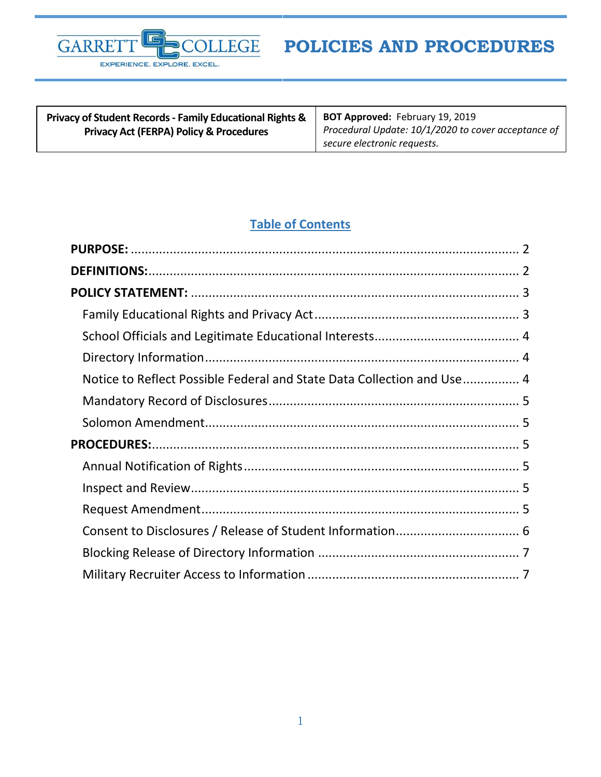

| <b>Privacy of Student Records - Family Educational Rights &amp;</b> | <b>BOT Approved: February 19, 2019</b>              |
|---------------------------------------------------------------------|-----------------------------------------------------|
| <b>Privacy Act (FERPA) Policy &amp; Procedures</b>                  | Procedural Update: 10/1/2020 to cover acceptance of |
|                                                                     | secure electronic requests.                         |

# **Table of Contents**

| Notice to Reflect Possible Federal and State Data Collection and Use 4 |  |
|------------------------------------------------------------------------|--|
|                                                                        |  |
|                                                                        |  |
|                                                                        |  |
|                                                                        |  |
|                                                                        |  |
|                                                                        |  |
|                                                                        |  |
|                                                                        |  |
|                                                                        |  |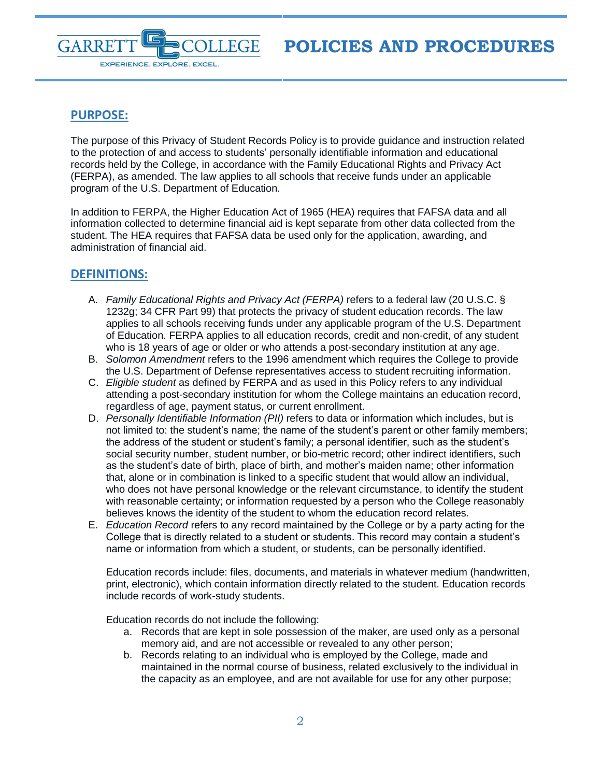

# <span id="page-1-0"></span>**PURPOSE:**

The purpose of this Privacy of Student Records Policy is to provide guidance and instruction related to the protection of and access to students' personally identifiable information and educational records held by the College, in accordance with the Family Educational Rights and Privacy Act (FERPA), as amended. The law applies to all schools that receive funds under an applicable program of the U.S. Department of Education.

In addition to FERPA, the Higher Education Act of 1965 (HEA) requires that FAFSA data and all information collected to determine financial aid is kept separate from other data collected from the student. The HEA requires that FAFSA data be used only for the application, awarding, and administration of financial aid.

# <span id="page-1-1"></span>**DEFINITIONS:**

- A. *Family Educational Rights and Privacy Act (FERPA)* refers to a federal law (20 U.S.C. § 1232g; 34 CFR Part 99) that protects the privacy of student education records. The law applies to all schools receiving funds under any applicable program of the U.S. Department of Education. FERPA applies to all education records, credit and non-credit, of any student who is 18 years of age or older or who attends a post-secondary institution at any age.
- B. *Solomon Amendment* refers to the 1996 amendment which requires the College to provide the U.S. Department of Defense representatives access to student recruiting information.
- C. *Eligible student* as defined by FERPA and as used in this Policy refers to any individual attending a post-secondary institution for whom the College maintains an education record, regardless of age, payment status, or current enrollment.
- D. *Personally Identifiable Information (PII)* refers to data or information which includes, but is not limited to: the student's name; the name of the student's parent or other family members; the address of the student or student's family; a personal identifier, such as the student's social security number, student number, or bio-metric record; other indirect identifiers, such as the student's date of birth, place of birth, and mother's maiden name; other information that, alone or in combination is linked to a specific student that would allow an individual, who does not have personal knowledge or the relevant circumstance, to identify the student with reasonable certainty; or information requested by a person who the College reasonably believes knows the identity of the student to whom the education record relates.
- E. *Education Record* refers to any record maintained by the College or by a party acting for the College that is directly related to a student or students. This record may contain a student's name or information from which a student, or students, can be personally identified.

Education records include: files, documents, and materials in whatever medium (handwritten, print, electronic), which contain information directly related to the student. Education records include records of work-study students.

Education records do not include the following:

- a. Records that are kept in sole possession of the maker, are used only as a personal memory aid, and are not accessible or revealed to any other person;
- b. Records relating to an individual who is employed by the College, made and maintained in the normal course of business, related exclusively to the individual in the capacity as an employee, and are not available for use for any other purpose;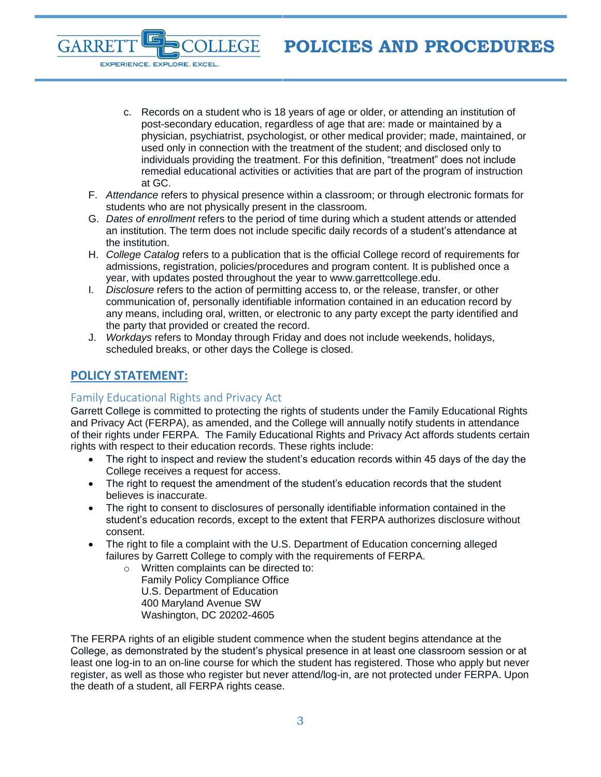- c. Records on a student who is 18 years of age or older, or attending an institution of post-secondary education, regardless of age that are: made or maintained by a physician, psychiatrist, psychologist, or other medical provider; made, maintained, or used only in connection with the treatment of the student; and disclosed only to individuals providing the treatment. For this definition, "treatment" does not include remedial educational activities or activities that are part of the program of instruction at GC.
- F. *Attendance* refers to physical presence within a classroom; or through electronic formats for students who are not physically present in the classroom.

**LEGE** 

- G. *Dates of enrollment* refers to the period of time during which a student attends or attended an institution. The term does not include specific daily records of a student's attendance at the institution.
- H. *College Catalog* refers to a publication that is the official College record of requirements for admissions, registration, policies/procedures and program content. It is published once a year, with updates posted throughout the year to www.garrettcollege.edu.
- I. *Disclosure* refers to the action of permitting access to, or the release, transfer, or other communication of, personally identifiable information contained in an education record by any means, including oral, written, or electronic to any party except the party identified and the party that provided or created the record.
- J. *Workdays* refers to Monday through Friday and does not include weekends, holidays, scheduled breaks, or other days the College is closed.

# <span id="page-2-0"></span>**POLICY STATEMENT:**

GARRE

EXPERIENCE. EXPLORE. EXCEL.

## <span id="page-2-1"></span>Family Educational Rights and Privacy Act

Garrett College is committed to protecting the rights of students under the Family Educational Rights and Privacy Act (FERPA), as amended, and the College will annually notify students in attendance of their rights under FERPA. The Family Educational Rights and Privacy Act affords students certain rights with respect to their education records. These rights include:

- The right to inspect and review the student's education records within 45 days of the day the College receives a request for access.
- The right to request the amendment of the student's education records that the student believes is inaccurate.
- The right to consent to disclosures of personally identifiable information contained in the student's education records, except to the extent that FERPA authorizes disclosure without consent.
- The right to file a complaint with the U.S. Department of Education concerning alleged failures by Garrett College to comply with the requirements of FERPA.
	- o Written complaints can be directed to: Family Policy Compliance Office U.S. Department of Education 400 Maryland Avenue SW Washington, DC 20202-4605

The FERPA rights of an eligible student commence when the student begins attendance at the College, as demonstrated by the student's physical presence in at least one classroom session or at least one log-in to an on-line course for which the student has registered. Those who apply but never register, as well as those who register but never attend/log-in, are not protected under FERPA. Upon the death of a student, all FERPA rights cease.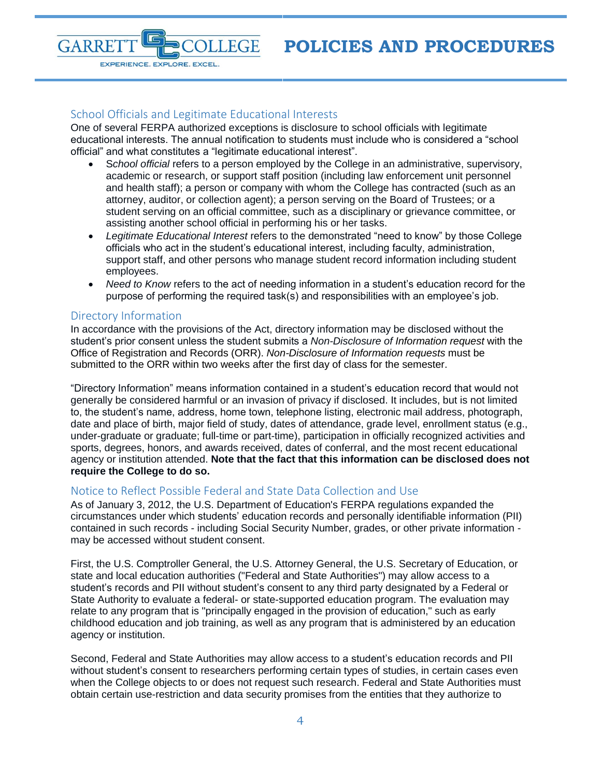#### <span id="page-3-0"></span>School Officials and Legitimate Educational Interests

EXPERIENCE. EXPLORE. EXCEL.

**LEGE** 

One of several FERPA authorized exceptions is disclosure to school officials with legitimate educational interests. The annual notification to students must include who is considered a "school official" and what constitutes a "legitimate educational interest".

- S*chool official* refers to a person employed by the College in an administrative, supervisory, academic or research, or support staff position (including law enforcement unit personnel and health staff); a person or company with whom the College has contracted (such as an attorney, auditor, or collection agent); a person serving on the Board of Trustees; or a student serving on an official committee, such as a disciplinary or grievance committee, or assisting another school official in performing his or her tasks.
- *Legitimate Educational Interest* refers to the demonstrated "need to know" by those College officials who act in the student's educational interest, including faculty, administration, support staff, and other persons who manage student record information including student employees.
- *Need to Know* refers to the act of needing information in a student's education record for the purpose of performing the required task(s) and responsibilities with an employee's job.

#### <span id="page-3-1"></span>Directory Information

**GARRE** 

In accordance with the provisions of the Act, directory information may be disclosed without the student's prior consent unless the student submits a *Non-Disclosure of Information request* with the Office of Registration and Records (ORR). *Non-Disclosure of Information requests* must be submitted to the ORR within two weeks after the first day of class for the semester.

"Directory Information" means information contained in a student's education record that would not generally be considered harmful or an invasion of privacy if disclosed. It includes, but is not limited to, the student's name, address, home town, telephone listing, electronic mail address, photograph, date and place of birth, major field of study, dates of attendance, grade level, enrollment status (e.g., under-graduate or graduate; full-time or part-time), participation in officially recognized activities and sports, degrees, honors, and awards received, dates of conferral, and the most recent educational agency or institution attended. **Note that the fact that this information can be disclosed does not require the College to do so.**

#### <span id="page-3-2"></span>Notice to Reflect Possible Federal and State Data Collection and Use

As of January 3, 2012, the U.S. Department of Education's FERPA regulations expanded the circumstances under which students' education records and personally identifiable information (PII) contained in such records - including Social Security Number, grades, or other private information may be accessed without student consent.

First, the U.S. Comptroller General, the U.S. Attorney General, the U.S. Secretary of Education, or state and local education authorities ("Federal and State Authorities") may allow access to a student's records and PII without student's consent to any third party designated by a Federal or State Authority to evaluate a federal- or state-supported education program. The evaluation may relate to any program that is "principally engaged in the provision of education," such as early childhood education and job training, as well as any program that is administered by an education agency or institution.

Second, Federal and State Authorities may allow access to a student's education records and PII without student's consent to researchers performing certain types of studies, in certain cases even when the College objects to or does not request such research. Federal and State Authorities must obtain certain use-restriction and data security promises from the entities that they authorize to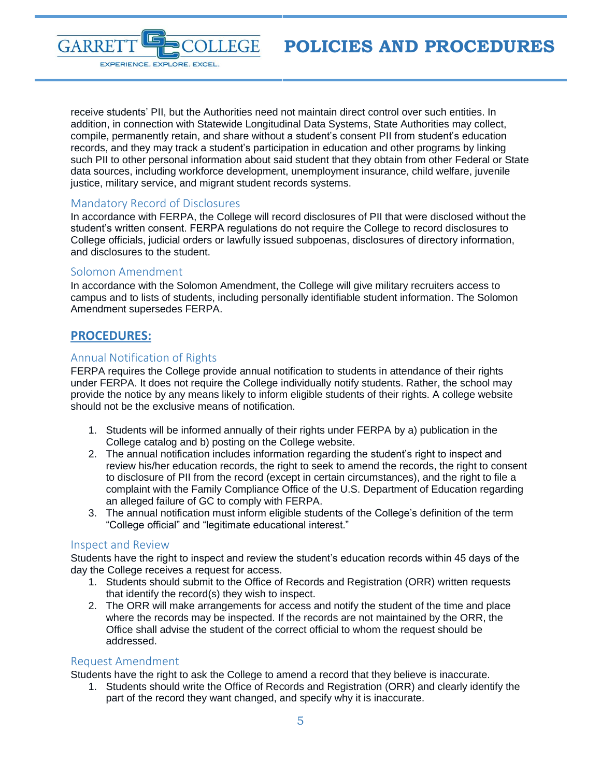

receive students' PII, but the Authorities need not maintain direct control over such entities. In addition, in connection with Statewide Longitudinal Data Systems, State Authorities may collect, compile, permanently retain, and share without a student's consent PII from student's education records, and they may track a student's participation in education and other programs by linking such PII to other personal information about said student that they obtain from other Federal or State data sources, including workforce development, unemployment insurance, child welfare, juvenile justice, military service, and migrant student records systems.

## <span id="page-4-0"></span>Mandatory Record of Disclosures

In accordance with FERPA, the College will record disclosures of PII that were disclosed without the student's written consent. FERPA regulations do not require the College to record disclosures to College officials, judicial orders or lawfully issued subpoenas, disclosures of directory information, and disclosures to the student.

#### <span id="page-4-1"></span>Solomon Amendment

In accordance with the Solomon Amendment, the College will give military recruiters access to campus and to lists of students, including personally identifiable student information. The Solomon Amendment supersedes FERPA.

# <span id="page-4-2"></span>**PROCEDURES:**

### <span id="page-4-3"></span>Annual Notification of Rights

FERPA requires the College provide annual notification to students in attendance of their rights under FERPA. It does not require the College individually notify students. Rather, the school may provide the notice by any means likely to inform eligible students of their rights. A college website should not be the exclusive means of notification.

- 1. Students will be informed annually of their rights under FERPA by a) publication in the College catalog and b) posting on the College website.
- 2. The annual notification includes information regarding the student's right to inspect and review his/her education records, the right to seek to amend the records, the right to consent to disclosure of PII from the record (except in certain circumstances), and the right to file a complaint with the Family Compliance Office of the U.S. Department of Education regarding an alleged failure of GC to comply with FERPA.
- 3. The annual notification must inform eligible students of the College's definition of the term "College official" and "legitimate educational interest."

#### <span id="page-4-4"></span>Inspect and Review

Students have the right to inspect and review the student's education records within 45 days of the day the College receives a request for access.

- 1. Students should submit to the Office of Records and Registration (ORR) written requests that identify the record(s) they wish to inspect.
- 2. The ORR will make arrangements for access and notify the student of the time and place where the records may be inspected. If the records are not maintained by the ORR, the Office shall advise the student of the correct official to whom the request should be addressed.

#### <span id="page-4-5"></span>Request Amendment

Students have the right to ask the College to amend a record that they believe is inaccurate.

1. Students should write the Office of Records and Registration (ORR) and clearly identify the part of the record they want changed, and specify why it is inaccurate.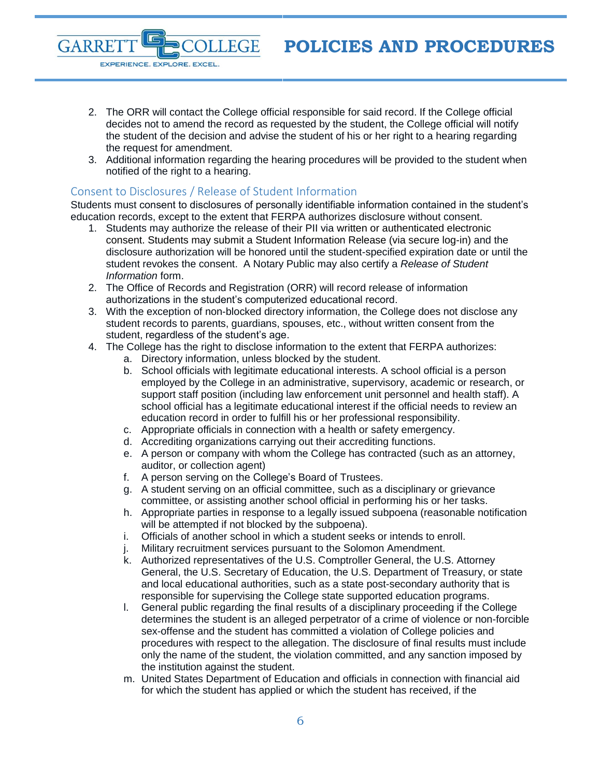- 2. The ORR will contact the College official responsible for said record. If the College official decides not to amend the record as requested by the student, the College official will notify the student of the decision and advise the student of his or her right to a hearing regarding the request for amendment.
- 3. Additional information regarding the hearing procedures will be provided to the student when notified of the right to a hearing.

# <span id="page-5-0"></span>Consent to Disclosures / Release of Student Information

**LEGE** 

**GARRE** 

EXPERIENCE. EXPLORE. EXCEL.

Students must consent to disclosures of personally identifiable information contained in the student's education records, except to the extent that FERPA authorizes disclosure without consent.

- 1. Students may authorize the release of their PII via written or authenticated electronic consent. Students may submit a Student Information Release (via secure log-in) and the disclosure authorization will be honored until the student-specified expiration date or until the student revokes the consent. A Notary Public may also certify a *Release of Student Information* form.
- 2. The Office of Records and Registration (ORR) will record release of information authorizations in the student's computerized educational record.
- 3. With the exception of non-blocked directory information, the College does not disclose any student records to parents, guardians, spouses, etc., without written consent from the student, regardless of the student's age.
- 4. The College has the right to disclose information to the extent that FERPA authorizes:
	- a. Directory information, unless blocked by the student.
	- b. School officials with legitimate educational interests. A school official is a person employed by the College in an administrative, supervisory, academic or research, or support staff position (including law enforcement unit personnel and health staff). A school official has a legitimate educational interest if the official needs to review an education record in order to fulfill his or her professional responsibility.
	- c. Appropriate officials in connection with a health or safety emergency.
	- d. Accrediting organizations carrying out their accrediting functions.
	- e. A person or company with whom the College has contracted (such as an attorney, auditor, or collection agent)
	- f. A person serving on the College's Board of Trustees.
	- g. A student serving on an official committee, such as a disciplinary or grievance committee, or assisting another school official in performing his or her tasks.
	- h. Appropriate parties in response to a legally issued subpoena (reasonable notification will be attempted if not blocked by the subpoena).
	- i. Officials of another school in which a student seeks or intends to enroll.
	- j. Military recruitment services pursuant to the Solomon Amendment.
	- k. Authorized representatives of the U.S. Comptroller General, the U.S. Attorney General, the U.S. Secretary of Education, the U.S. Department of Treasury, or state and local educational authorities, such as a state post-secondary authority that is responsible for supervising the College state supported education programs.
	- l. General public regarding the final results of a disciplinary proceeding if the College determines the student is an alleged perpetrator of a crime of violence or non-forcible sex-offense and the student has committed a violation of College policies and procedures with respect to the allegation. The disclosure of final results must include only the name of the student, the violation committed, and any sanction imposed by the institution against the student.
	- m. United States Department of Education and officials in connection with financial aid for which the student has applied or which the student has received, if the